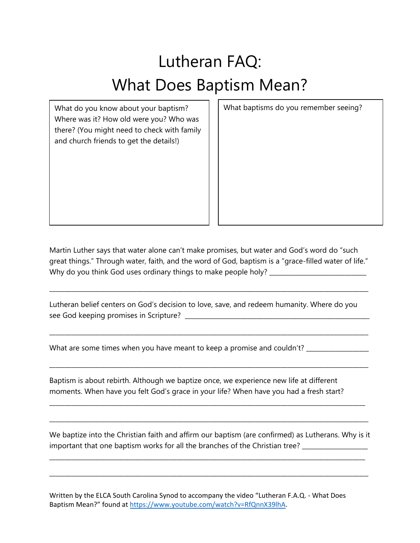## Lutheran FAQ: What Does Baptism Mean?

What do you know about your baptism? Where was it? How old were you? Who was there? (You might need to check with family and church friends to get the details!)

What baptisms do you remember seeing?

Martin Luther says that water alone can't make promises, but water and God's word do "such great things." Through water, faith, and the word of God, baptism is a "grace-filled water of life." Why do you think God uses ordinary things to make people holy? \_\_\_\_\_\_\_\_\_\_\_\_\_\_\_\_\_

\_\_\_\_\_\_\_\_\_\_\_\_\_\_\_\_\_\_\_\_\_\_\_\_\_\_\_\_\_\_\_\_\_\_\_\_\_\_\_\_\_\_\_\_\_\_\_\_\_\_\_\_\_\_\_\_\_\_\_\_\_\_\_\_\_\_\_\_\_\_\_\_\_\_\_\_\_\_\_\_\_\_\_\_\_\_\_\_\_\_\_\_\_\_\_\_\_\_\_\_\_\_

\_\_\_\_\_\_\_\_\_\_\_\_\_\_\_\_\_\_\_\_\_\_\_\_\_\_\_\_\_\_\_\_\_\_\_\_\_\_\_\_\_\_\_\_\_\_\_\_\_\_\_\_\_\_\_\_\_\_\_\_\_\_\_\_\_\_\_\_\_\_\_\_\_\_\_\_\_\_\_\_\_\_\_\_\_\_\_\_\_\_\_\_\_\_\_\_\_\_\_\_\_\_

\_\_\_\_\_\_\_\_\_\_\_\_\_\_\_\_\_\_\_\_\_\_\_\_\_\_\_\_\_\_\_\_\_\_\_\_\_\_\_\_\_\_\_\_\_\_\_\_\_\_\_\_\_\_\_\_\_\_\_\_\_\_\_\_\_\_\_\_\_\_\_\_\_\_\_\_\_\_\_\_\_\_\_\_\_\_\_\_\_\_\_\_\_\_\_\_\_\_\_\_\_\_

\_\_\_\_\_\_\_\_\_\_\_\_\_\_\_\_\_\_\_\_\_\_\_\_\_\_\_\_\_\_\_\_\_\_\_\_\_\_\_\_\_\_\_\_\_\_\_\_\_\_\_\_\_\_\_\_\_\_\_\_\_\_\_\_\_\_\_\_\_\_\_\_\_\_\_\_\_\_\_\_\_\_\_\_\_\_\_\_\_\_\_\_\_\_\_\_\_\_\_\_\_

\_\_\_\_\_\_\_\_\_\_\_\_\_\_\_\_\_\_\_\_\_\_\_\_\_\_\_\_\_\_\_\_\_\_\_\_\_\_\_\_\_\_\_\_\_\_\_\_\_\_\_\_\_\_\_\_\_\_\_\_\_\_\_\_\_\_\_\_\_\_\_\_\_\_\_\_\_\_\_\_\_\_\_\_\_\_\_\_\_\_\_\_\_\_\_\_\_\_\_\_\_\_

Lutheran belief centers on God's decision to love, save, and redeem humanity. Where do you see God keeping promises in Scripture? \_\_\_\_\_\_\_\_\_\_\_\_\_\_\_\_\_\_\_\_\_\_\_\_\_\_\_\_\_\_\_\_\_\_\_\_\_\_\_\_\_\_\_\_\_\_\_\_\_\_\_\_\_\_\_\_\_\_\_

What are some times when you have meant to keep a promise and couldn't? \_\_\_\_\_\_\_\_\_\_\_\_\_\_

Baptism is about rebirth. Although we baptize once, we experience new life at different moments. When have you felt God's grace in your life? When have you had a fresh start?

We baptize into the Christian faith and affirm our baptism (are confirmed) as Lutherans. Why is it important that one baptism works for all the branches of the Christian tree? \_\_\_\_\_\_\_\_\_\_\_\_\_\_\_\_\_\_\_\_\_\_

\_\_\_\_\_\_\_\_\_\_\_\_\_\_\_\_\_\_\_\_\_\_\_\_\_\_\_\_\_\_\_\_\_\_\_\_\_\_\_\_\_\_\_\_\_\_\_\_\_\_\_\_\_\_\_\_\_\_\_\_\_\_\_\_\_\_\_\_\_\_\_\_\_\_\_\_\_\_\_\_\_\_\_\_\_\_\_\_\_\_\_\_\_\_\_\_\_\_\_\_\_

\_\_\_\_\_\_\_\_\_\_\_\_\_\_\_\_\_\_\_\_\_\_\_\_\_\_\_\_\_\_\_\_\_\_\_\_\_\_\_\_\_\_\_\_\_\_\_\_\_\_\_\_\_\_\_\_\_\_\_\_\_\_\_\_\_\_\_\_\_\_\_\_\_\_\_\_\_\_\_\_\_\_\_\_\_\_\_\_\_\_\_\_\_\_\_\_\_\_\_\_\_\_

Written by the ELCA South Carolina Synod to accompany the video "Lutheran F.A.Q. - What Does Baptism Mean?" found at [https://www.youtube.com/watch?v=RfQnnX39lhA.](https://www.youtube.com/watch?v=RfQnnX39lhA)